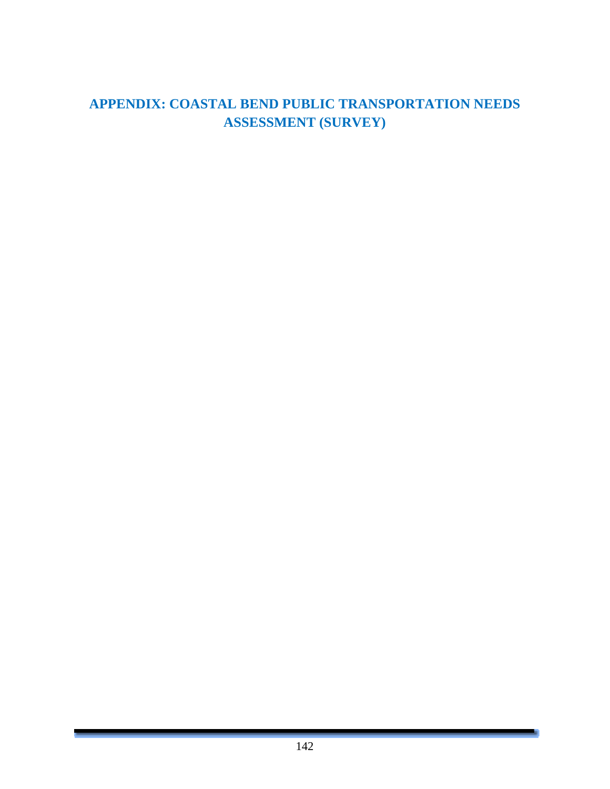### **APPENDIX: COASTAL BEND PUBLIC TRANSPORTATION NEEDS ASSESSMENT (SURVEY)**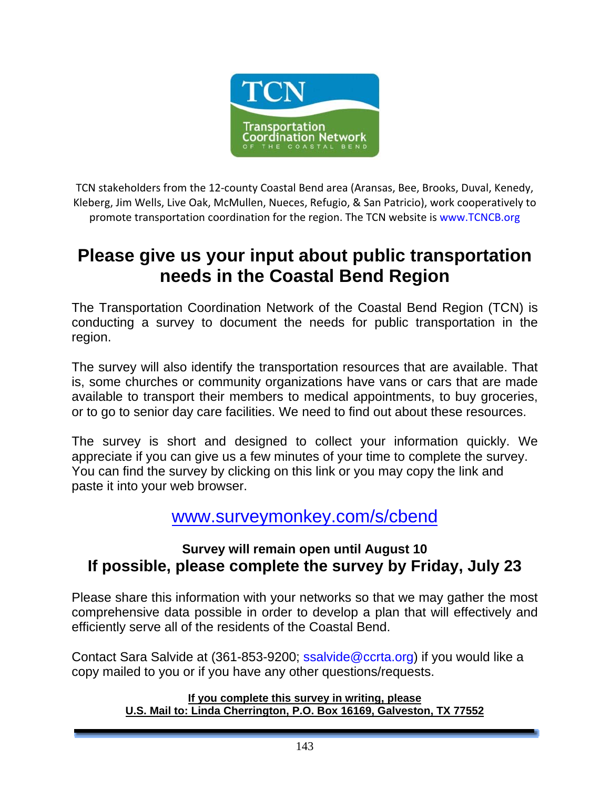

TCN stakeholders from the 12‐county Coastal Bend area (Aransas, Bee, Brooks, Duval, Kenedy, Kleberg, Jim Wells, Live Oak, McMullen, Nueces, Refugio, & San Patricio), work cooperatively to promote transportation coordination for the region. The TCN website is www.TCNCB.org

# **Please give us your input about public transportation needs in the Coastal Bend Region**

The Transportation Coordination Network of the Coastal Bend Region (TCN) is conducting a survey to document the needs for public transportation in the region.

The survey will also identify the transportation resources that are available. That is, some churches or community organizations have vans or cars that are made available to transport their members to medical appointments, to buy groceries, or to go to senior day care facilities. We need to find out about these resources.

The survey is short and designed to collect your information quickly. We appreciate if you can give us a few minutes of your time to complete the survey. You can find the survey by clicking on this link or you may copy the link and paste it into your web browser.

### www.surveymonkey.com/s/cbend

### **Survey will remain open until August 10 If possible, please complete the survey by Friday, July 23**

Please share this information with your networks so that we may gather the most comprehensive data possible in order to develop a plan that will effectively and efficiently serve all of the residents of the Coastal Bend.

Contact Sara Salvide at (361-853-9200; ssalvide@ccrta.org) if you would like a copy mailed to you or if you have any other questions/requests.

#### **If you complete this survey in writing, please U.S. Mail to: Linda Cherrington, P.O. Box 16169, Galveston, TX 77552**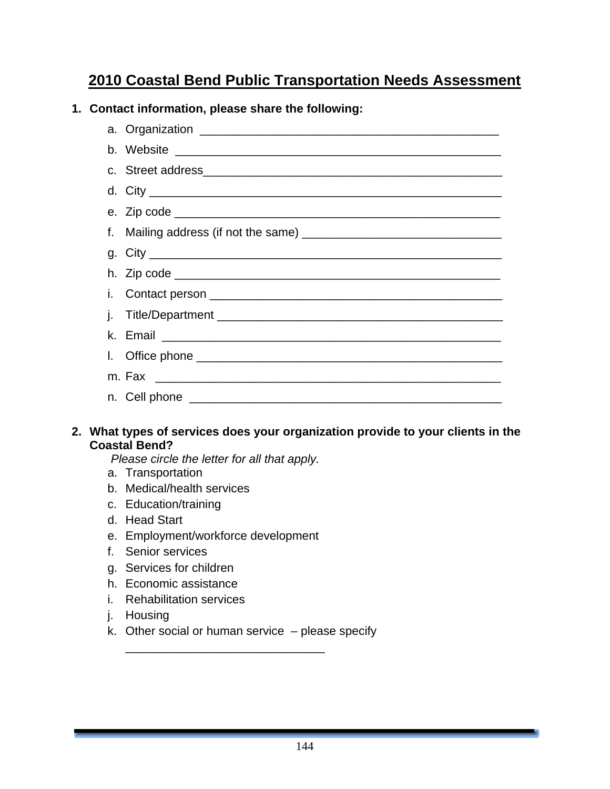## **2010 Coastal Bend Public Transportation Needs Assessment**

#### **1. Contact information, please share the following:**

#### **2. What types of services does your organization provide to your clients in the Coastal Bend?**

*Please circle the letter for all that apply.* 

- a. Transportation
- b. Medical/health services
- c. Education/training
- d. Head Start
- e. Employment/workforce development
- f. Senior services
- g. Services for children
- h. Economic assistance
- i. Rehabilitation services
- j. Housing
- k. Other social or human service  $-$  please specify

\_\_\_\_\_\_\_\_\_\_\_\_\_\_\_\_\_\_\_\_\_\_\_\_\_\_\_\_\_\_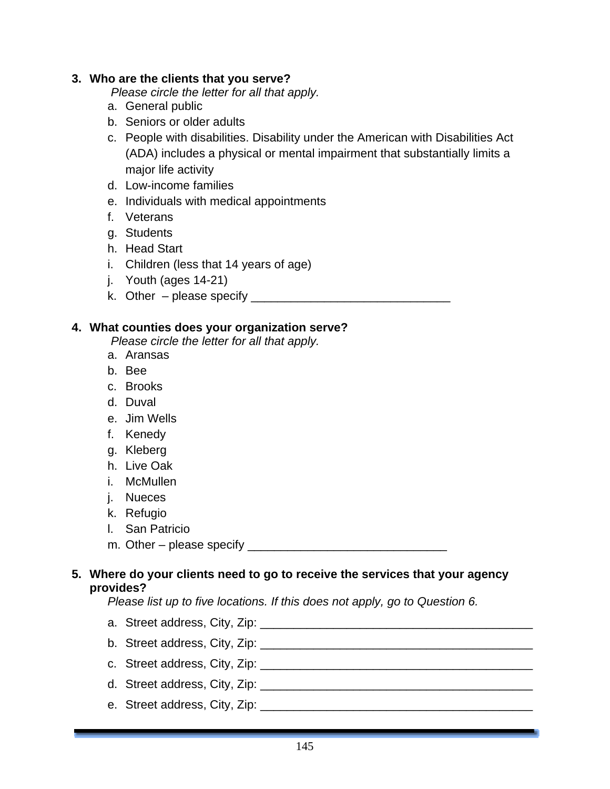#### **3. Who are the clients that you serve?**

*Please circle the letter for all that apply.* 

- a. General public
- b. Seniors or older adults
- c. People with disabilities. Disability under the American with Disabilities Act (ADA) includes a physical or mental impairment that substantially limits a major life activity
- d. Low-income families
- e. Individuals with medical appointments
- f. Veterans
- g. Students
- h. Head Start
- i. Children (less that 14 years of age)
- j. Youth (ages 14-21)
- k. Other please specify \_\_\_\_\_\_\_\_\_\_\_\_\_\_\_\_\_\_\_\_\_\_\_\_\_\_\_\_\_\_

#### **4. What counties does your organization serve?**

- *Please circle the letter for all that apply.*
- a. Aransas
- b. Bee
- c. Brooks
- d. Duval
- e. Jim Wells
- f. Kenedy
- g. Kleberg
- h. Live Oak
- i. McMullen
- j. Nueces
- k. Refugio
- l. San Patricio
- m. Other please specify \_\_\_\_\_\_\_\_\_\_\_\_\_\_\_\_\_\_\_\_\_\_\_\_\_\_\_\_\_\_

#### **5. Where do your clients need to go to receive the services that your agency provides?**

*Please list up to five locations. If this does not apply, go to Question 6.* 

- a. Street address, City, Zip: \_\_\_\_\_\_\_\_\_\_\_\_\_\_\_\_\_\_\_\_\_\_\_\_\_\_\_\_\_\_\_\_\_\_\_\_\_\_\_\_\_
- b. Street address, City, Zip: \_\_\_\_\_\_\_\_\_\_\_\_\_\_\_\_\_\_\_\_\_\_\_\_\_\_\_\_\_\_\_\_\_\_\_\_\_\_\_\_\_
- c. Street address, City, Zip: \_\_\_\_\_\_\_\_\_\_\_\_\_\_\_\_\_\_\_\_\_\_\_\_\_\_\_\_\_\_\_\_\_\_\_\_\_\_\_\_\_
- d. Street address, City, Zip: \_\_\_\_\_\_\_\_\_\_\_\_\_\_\_\_\_\_\_\_\_\_\_\_\_\_\_\_\_\_\_\_\_\_\_\_\_\_\_\_\_
- e. Street address, City, Zip: \_\_\_\_\_\_\_\_\_\_\_\_\_\_\_\_\_\_\_\_\_\_\_\_\_\_\_\_\_\_\_\_\_\_\_\_\_\_\_\_\_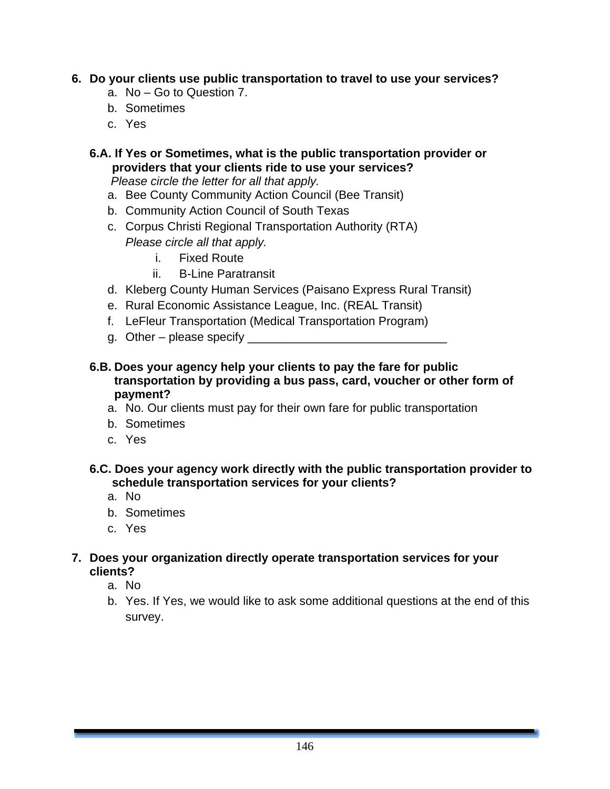#### **6. Do your clients use public transportation to travel to use your services?**

- a. No Go to Question 7.
- b. Sometimes
- c. Yes
- **6.A. If Yes or Sometimes, what is the public transportation provider or providers that your clients ride to use your services?**

*Please circle the letter for all that apply.* 

- a. Bee County Community Action Council (Bee Transit)
- b. Community Action Council of South Texas
- c. Corpus Christi Regional Transportation Authority (RTA) *Please circle all that apply.*
	- i. Fixed Route
	- ii. B-Line Paratransit
- d. Kleberg County Human Services (Paisano Express Rural Transit)
- e. Rural Economic Assistance League, Inc. (REAL Transit)
- f. LeFleur Transportation (Medical Transportation Program)
- g. Other please specify \_\_\_\_\_\_\_\_\_\_\_\_\_\_\_\_\_\_\_\_\_\_\_\_\_\_\_\_\_\_

#### **6.B. Does your agency help your clients to pay the fare for public transportation by providing a bus pass, card, voucher or other form of payment?**

- a. No. Our clients must pay for their own fare for public transportation
- b. Sometimes
- c. Yes

#### **6.C. Does your agency work directly with the public transportation provider to schedule transportation services for your clients?**

- a. No
- b. Sometimes
- c. Yes

#### **7. Does your organization directly operate transportation services for your clients?**

- a. No
- b. Yes. If Yes, we would like to ask some additional questions at the end of this survey.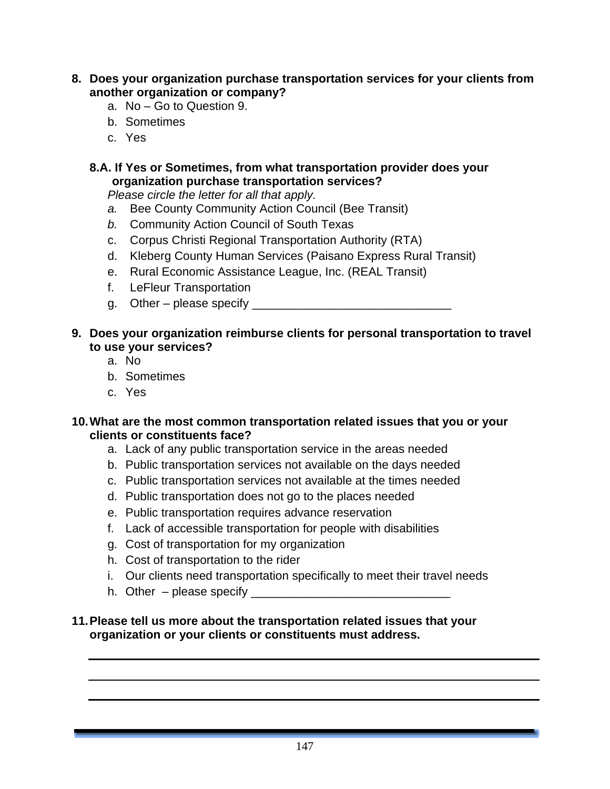- **8. Does your organization purchase transportation services for your clients from another organization or company?** 
	- a. No Go to Question 9.
	- b. Sometimes
	- c. Yes

#### **8.A. If Yes or Sometimes, from what transportation provider does your organization purchase transportation services?**

*Please circle the letter for all that apply.* 

- *a.* Bee County Community Action Council (Bee Transit)
- *b.* Community Action Council of South Texas
- c. Corpus Christi Regional Transportation Authority (RTA)
- d. Kleberg County Human Services (Paisano Express Rural Transit)
- e. Rural Economic Assistance League, Inc. (REAL Transit)
- f. LeFleur Transportation
- g. Other please specify  $\overline{\phantom{a}}$

#### **9. Does your organization reimburse clients for personal transportation to travel to use your services?**

- a. No
- b. Sometimes
- c. Yes

#### **10. What are the most common transportation related issues that you or your clients or constituents face?**

- a. Lack of any public transportation service in the areas needed
- b. Public transportation services not available on the days needed
- c. Public transportation services not available at the times needed
- d. Public transportation does not go to the places needed
- e. Public transportation requires advance reservation
- f. Lack of accessible transportation for people with disabilities
- g. Cost of transportation for my organization
- h. Cost of transportation to the rider
- i. Our clients need transportation specifically to meet their travel needs
- h. Other please specify \_\_\_\_\_\_\_\_\_\_\_\_\_\_\_\_\_\_\_\_\_\_\_\_\_\_\_\_\_\_

#### **11. Please tell us more about the transportation related issues that your organization or your clients or constituents must address.**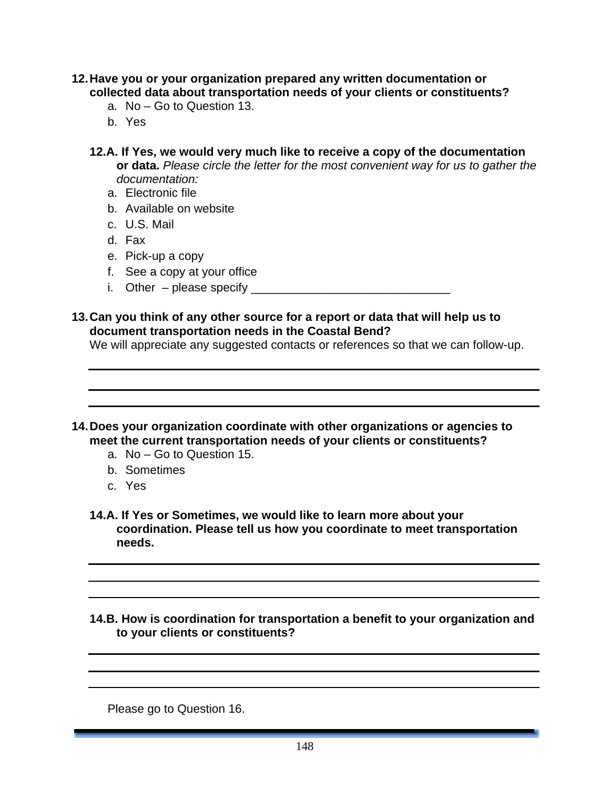- **12. Have you or your organization prepared any written documentation or collected data about transportation needs of your clients or constituents?** 
	- a. No Go to Question 13.
	- b. Yes
	- **12.A. If Yes, we would very much like to receive a copy of the documentation or data.** *Please circle the letter for the most convenient way for us to gather the documentation:*
		- a. Electronic file
		- b. Available on website
		- c. U.S. Mail
		- d. Fax
		- e. Pick-up a copy
		- f. See a copy at your office
		- i. Other please specify  $\overline{\phantom{a}}$
- **13. Can you think of any other source for a report or data that will help us to document transportation needs in the Coastal Bend?**

We will appreciate any suggested contacts or references so that we can follow-up.

- **14. Does your organization coordinate with other organizations or agencies to meet the current transportation needs of your clients or constituents?** 
	- a. No Go to Question 15.
	- b. Sometimes
	- c. Yes
	- **14.A. If Yes or Sometimes, we would like to learn more about your coordination. Please tell us how you coordinate to meet transportation needs.**

**14.B. How is coordination for transportation a benefit to your organization and to your clients or constituents?** 

Please go to Question 16.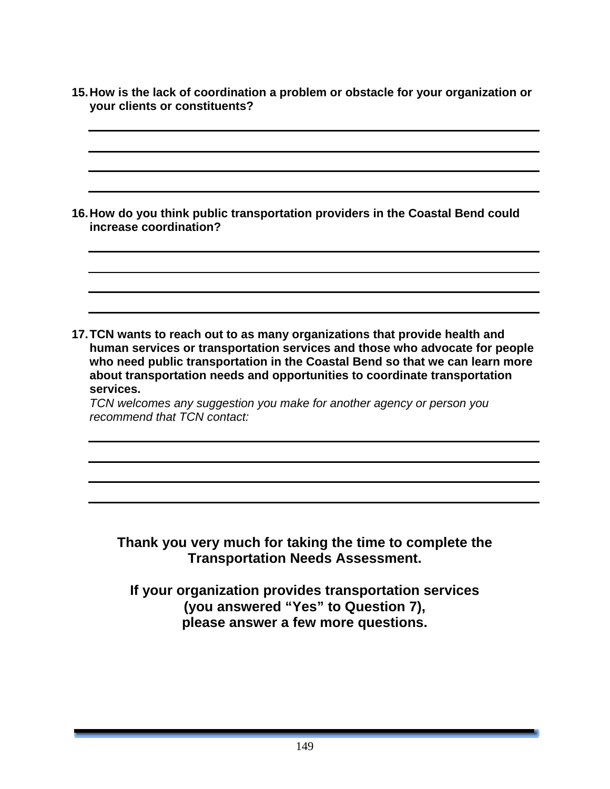**15. How is the lack of coordination a problem or obstacle for your organization or your clients or constituents?** 

**16. How do you think public transportation providers in the Coastal Bend could increase coordination?** 

**17. TCN wants to reach out to as many organizations that provide health and human services or transportation services and those who advocate for people who need public transportation in the Coastal Bend so that we can learn more about transportation needs and opportunities to coordinate transportation services.** 

*TCN welcomes any suggestion you make for another agency or person you recommend that TCN contact:* 

### **Thank you very much for taking the time to complete the Transportation Needs Assessment.**

**If your organization provides transportation services (you answered "Yes" to Question 7), please answer a few more questions.**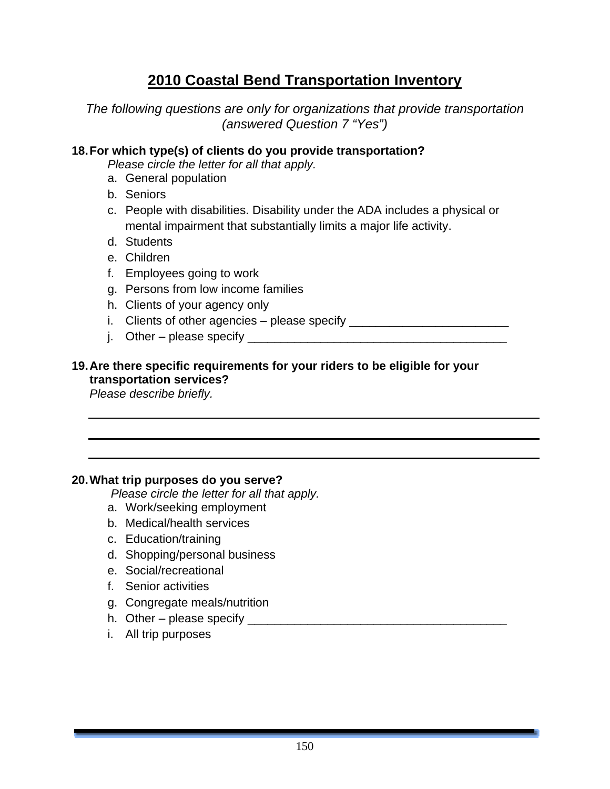## **2010 Coastal Bend Transportation Inventory**

*The following questions are only for organizations that provide transportation (answered Question 7 "Yes")* 

#### **18. For which type(s) of clients do you provide transportation?**

*Please circle the letter for all that apply.* 

- a. General population
- b. Seniors
- c. People with disabilities. Disability under the ADA includes a physical or mental impairment that substantially limits a major life activity.
- d. Students
- e. Children
- f. Employees going to work
- g. Persons from low income families
- h. Clients of your agency only
- i. Clients of other agencies please specify \_\_\_\_\_\_\_\_\_\_\_\_\_\_\_\_\_\_\_\_\_\_\_\_\_\_\_\_\_\_\_\_\_\_
- j. Other please specify \_\_\_\_\_\_\_\_\_\_\_\_\_\_\_\_\_\_\_\_\_\_\_\_\_\_\_\_\_\_\_\_\_\_\_\_\_\_\_

### **19. Are there specific requirements for your riders to be eligible for your transportation services?**

*Please describe briefly.* 

### **20. What trip purposes do you serve?**

 *Please circle the letter for all that apply.* 

- a. Work/seeking employment
- b. Medical/health services
- c. Education/training
- d. Shopping/personal business
- e. Social/recreational
- f. Senior activities
- g. Congregate meals/nutrition
- h. Other please specify \_\_\_\_\_\_\_\_\_\_\_\_\_\_\_\_\_\_\_\_\_\_\_\_\_\_\_\_\_\_\_\_\_\_\_\_\_\_\_
- i. All trip purposes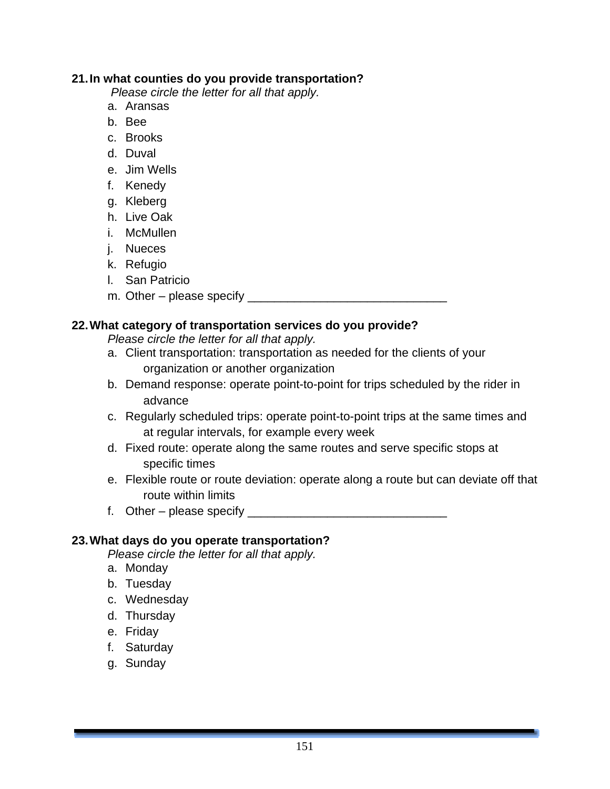#### **21. In what counties do you provide transportation?**

 *Please circle the letter for all that apply.* 

- a. Aransas
- b. Bee
- c. Brooks
- d. Duval
- e. Jim Wells
- f. Kenedy
- g. Kleberg
- h. Live Oak
- i. McMullen
- j. Nueces
- k. Refugio
- l. San Patricio
- m. Other please specify \_\_\_\_\_\_\_\_\_\_\_\_\_\_\_\_\_\_\_\_\_\_\_\_\_\_\_\_\_\_

#### **22. What category of transportation services do you provide?**

*Please circle the letter for all that apply.* 

- a. Client transportation: transportation as needed for the clients of your organization or another organization
- b. Demand response: operate point-to-point for trips scheduled by the rider in advance
- c. Regularly scheduled trips: operate point-to-point trips at the same times and at regular intervals, for example every week
- d. Fixed route: operate along the same routes and serve specific stops at specific times
- e. Flexible route or route deviation: operate along a route but can deviate off that route within limits
- f. Other please specify \_\_\_\_\_\_\_\_\_\_\_\_\_\_\_\_\_\_\_\_\_\_\_\_\_\_\_\_\_\_

#### **23. What days do you operate transportation?**

*Please circle the letter for all that apply.* 

- a. Monday
- b. Tuesday
- c. Wednesday
- d. Thursday
- e. Friday
- f. Saturday
- g. Sunday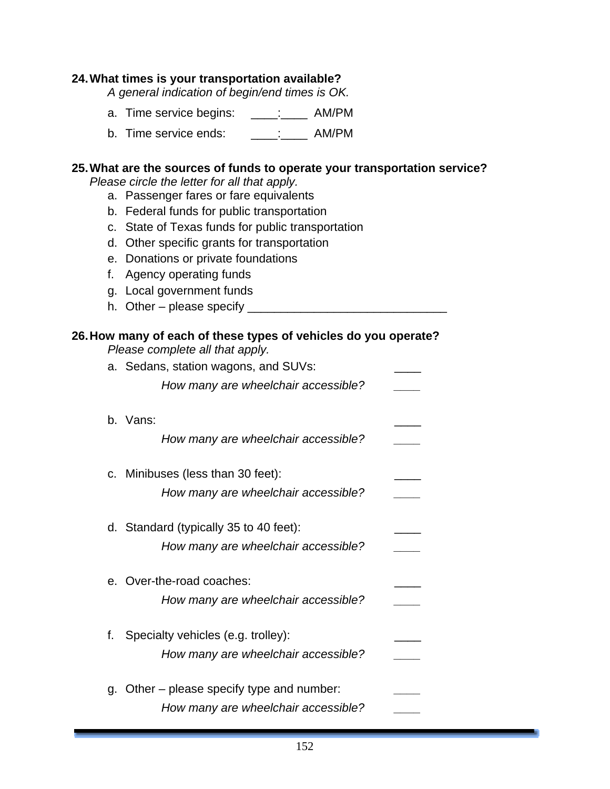#### **24. What times is your transportation available?**

*A general indication of begin/end times is OK.* 

- a. Time service begins: \_\_\_\_: \_\_\_\_ AM/PM
- b. Time service ends:  $\vdots$  AM/PM

#### **25. What are the sources of funds to operate your transportation service?**

*Please circle the letter for all that apply.* 

- a. Passenger fares or fare equivalents
- b. Federal funds for public transportation
- c. State of Texas funds for public transportation
- d. Other specific grants for transportation
- e. Donations or private foundations
- f. Agency operating funds
- g. Local government funds
- h. Other please specify  $\overline{\phantom{a}}$

## **26. How many of each of these types of vehicles do you operate?**

*Please complete all that apply.* 

|    | a. Sedans, station wagons, and SUVs:    |  |
|----|-----------------------------------------|--|
|    | How many are wheelchair accessible?     |  |
|    | b. Vans:                                |  |
|    | How many are wheelchair accessible?     |  |
|    | c. Minibuses (less than 30 feet):       |  |
|    | How many are wheelchair accessible?     |  |
|    | d. Standard (typically 35 to 40 feet):  |  |
|    | How many are wheelchair accessible?     |  |
|    | e. Over-the-road coaches:               |  |
|    | How many are wheelchair accessible?     |  |
| f. | Specialty vehicles (e.g. trolley):      |  |
|    | How many are wheelchair accessible?     |  |
| α. | Other - please specify type and number: |  |
|    | How many are wheelchair accessible?     |  |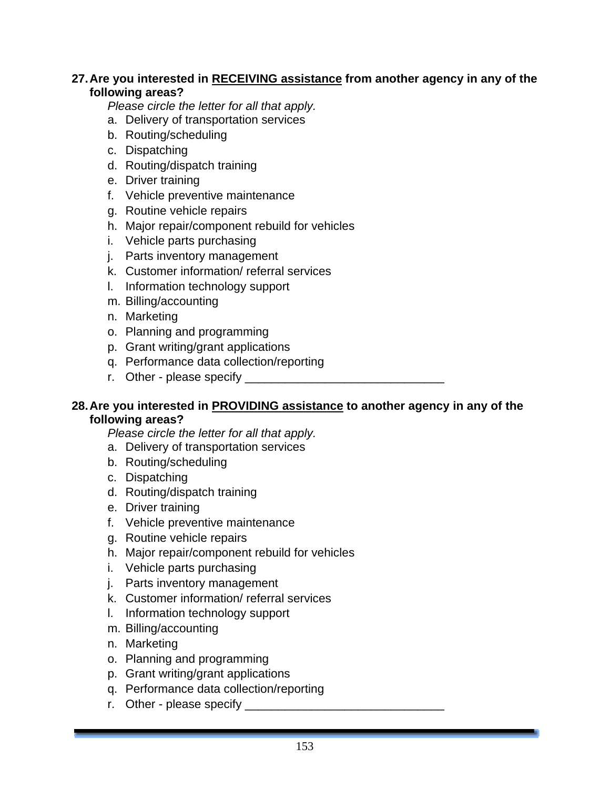#### **27. Are you interested in RECEIVING assistance from another agency in any of the following areas?**

*Please circle the letter for all that apply.* 

- a. Delivery of transportation services
- b. Routing/scheduling
- c. Dispatching
- d. Routing/dispatch training
- e. Driver training
- f. Vehicle preventive maintenance
- g. Routine vehicle repairs
- h. Major repair/component rebuild for vehicles
- i. Vehicle parts purchasing
- j. Parts inventory management
- k. Customer information/ referral services
- l. Information technology support
- m. Billing/accounting
- n. Marketing
- o. Planning and programming
- p. Grant writing/grant applications
- q. Performance data collection/reporting
- r. Other please specify \_\_\_\_\_\_\_\_\_\_\_\_\_\_\_\_\_\_\_\_\_\_\_\_\_\_\_\_\_\_

#### **28. Are you interested in PROVIDING assistance to another agency in any of the following areas?**

*Please circle the letter for all that apply.* 

- a. Delivery of transportation services
- b. Routing/scheduling
- c. Dispatching
- d. Routing/dispatch training
- e. Driver training
- f. Vehicle preventive maintenance
- g. Routine vehicle repairs
- h. Major repair/component rebuild for vehicles
- i. Vehicle parts purchasing
- j. Parts inventory management
- k. Customer information/ referral services
- l. Information technology support
- m. Billing/accounting
- n. Marketing
- o. Planning and programming
- p. Grant writing/grant applications
- q. Performance data collection/reporting
- r. Other please specify \_\_\_\_\_\_\_\_\_\_\_\_\_\_\_\_\_\_\_\_\_\_\_\_\_\_\_\_\_\_